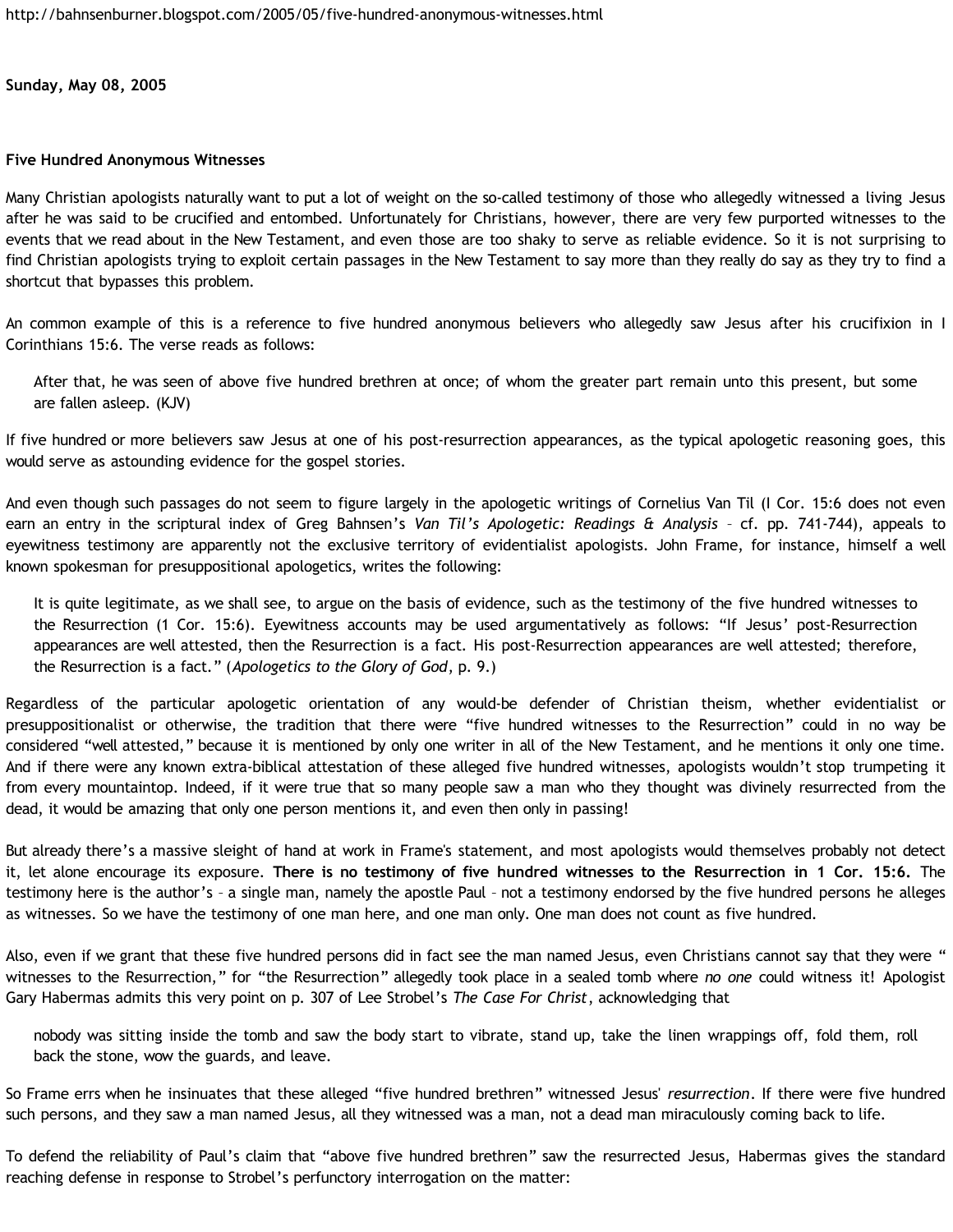**Sunday, May 08, 2005**

## **Five Hundred Anonymous Witnesses**

Many Christian apologists naturally want to put a lot of weight on the so-called testimony of those who allegedly witnessed a living Jesus after he was said to be crucified and entombed. Unfortunately for Christians, however, there are very few purported witnesses to the events that we read about in the New Testament, and even those are too shaky to serve as reliable evidence. So it is not surprising to find Christian apologists trying to exploit certain passages in the New Testament to say more than they really do say as they try to find a shortcut that bypasses this problem.

An common example of this is a reference to five hundred anonymous believers who allegedly saw Jesus after his crucifixion in I Corinthians 15:6. The verse reads as follows:

After that, he was seen of above five hundred brethren at once; of whom the greater part remain unto this present, but some are fallen asleep. (KJV)

If five hundred or more believers saw Jesus at one of his post-resurrection appearances, as the typical apologetic reasoning goes, this would serve as astounding evidence for the gospel stories.

And even though such passages do not seem to figure largely in the apologetic writings of Cornelius Van Til (I Cor. 15:6 does not even earn an entry in the scriptural index of Greg Bahnsen's *Van Til's Apologetic: Readings & Analysis* – cf. pp. 741-744), appeals to eyewitness testimony are apparently not the exclusive territory of evidentialist apologists. John Frame, for instance, himself a well known spokesman for presuppositional apologetics, writes the following:

It is quite legitimate, as we shall see, to argue on the basis of evidence, such as the testimony of the five hundred witnesses to the Resurrection (1 Cor. 15:6). Eyewitness accounts may be used argumentatively as follows: "If Jesus' post-Resurrection appearances are well attested, then the Resurrection is a fact. His post-Resurrection appearances are well attested; therefore, the Resurrection is a fact." (*Apologetics to the Glory of God*, p. 9.)

Regardless of the particular apologetic orientation of any would-be defender of Christian theism, whether evidentialist or presuppositionalist or otherwise, the tradition that there were "five hundred witnesses to the Resurrection" could in no way be considered "well attested," because it is mentioned by only one writer in all of the New Testament, and he mentions it only one time. And if there were any known extra-biblical attestation of these alleged five hundred witnesses, apologists wouldn't stop trumpeting it from every mountaintop. Indeed, if it were true that so many people saw a man who they thought was divinely resurrected from the dead, it would be amazing that only one person mentions it, and even then only in passing!

But already there's a massive sleight of hand at work in Frame's statement, and most apologists would themselves probably not detect it, let alone encourage its exposure. **There is no testimony of five hundred witnesses to the Resurrection in 1 Cor. 15:6.** The testimony here is the author's – a single man, namely the apostle Paul – not a testimony endorsed by the five hundred persons he alleges as witnesses. So we have the testimony of one man here, and one man only. One man does not count as five hundred.

Also, even if we grant that these five hundred persons did in fact see the man named Jesus, even Christians cannot say that they were " witnesses to the Resurrection," for "the Resurrection" allegedly took place in a sealed tomb where *no one* could witness it! Apologist Gary Habermas admits this very point on p. 307 of Lee Strobel's *The Case For Christ*, acknowledging that

nobody was sitting inside the tomb and saw the body start to vibrate, stand up, take the linen wrappings off, fold them, roll back the stone, wow the guards, and leave.

So Frame errs when he insinuates that these alleged "five hundred brethren" witnessed Jesus' *resurrection*. If there were five hundred such persons, and they saw a man named Jesus, all they witnessed was a man, not a dead man miraculously coming back to life.

To defend the reliability of Paul's claim that "above five hundred brethren" saw the resurrected Jesus, Habermas gives the standard reaching defense in response to Strobel's perfunctory interrogation on the matter: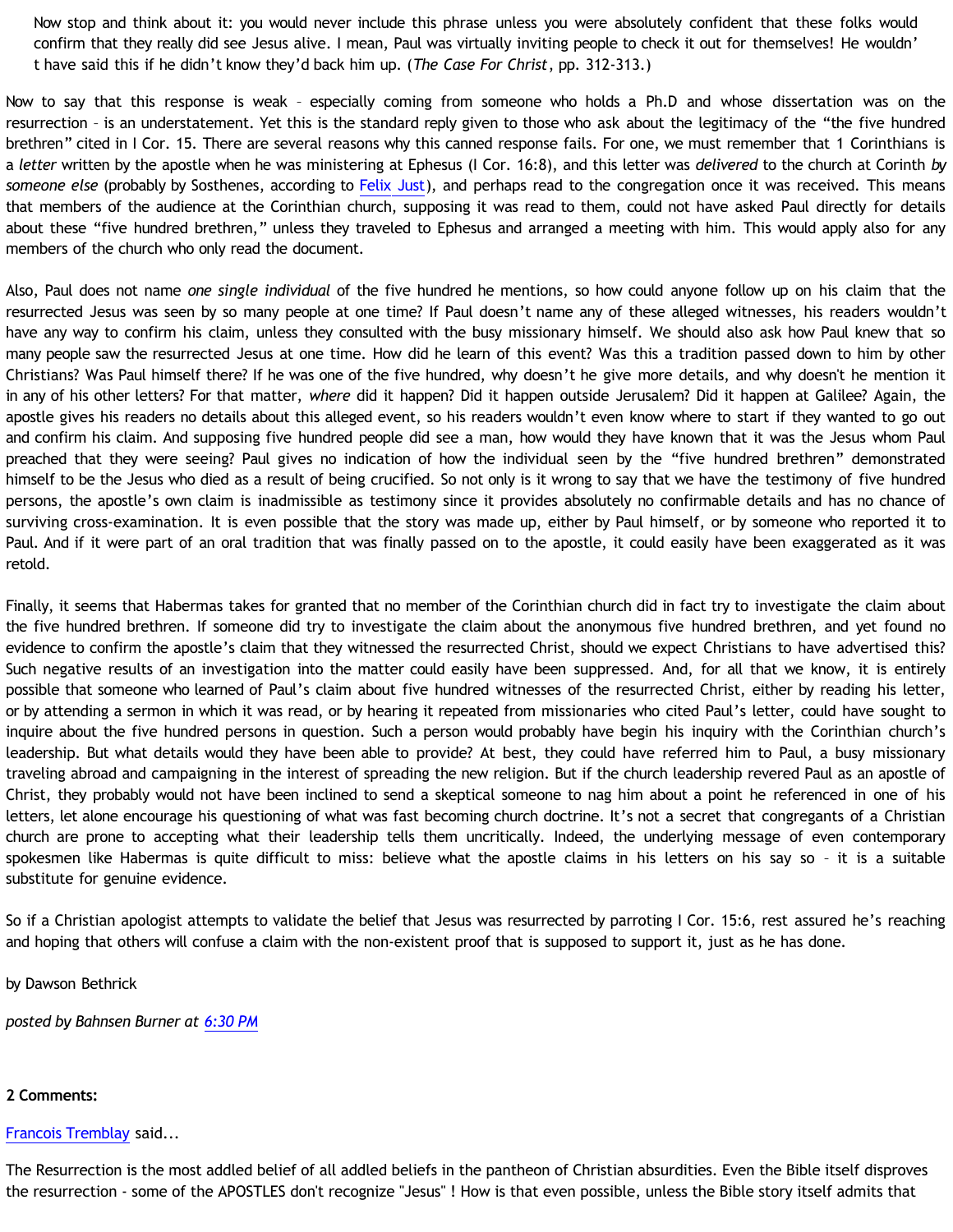Now stop and think about it: you would never include this phrase unless you were absolutely confident that these folks would confirm that they really did see Jesus alive. I mean, Paul was virtually inviting people to check it out for themselves! He wouldn' t have said this if he didn't know they'd back him up. (*The Case For Christ*, pp. 312-313.)

Now to say that this response is weak – especially coming from someone who holds a Ph.D and whose dissertation was on the resurrection – is an understatement. Yet this is the standard reply given to those who ask about the legitimacy of the "the five hundred brethren" cited in I Cor. 15. There are several reasons why this canned response fails. For one, we must remember that 1 Corinthians is a *letter* written by the apostle when he was ministering at Ephesus (I Cor. 16:8), and this letter was *delivered* to the church at Corinth *by someone else* (probably by Sosthenes, according to [Felix Just\)](http://myweb.lmu.edu/fjust/Bible/Paul&Corinth.htm), and perhaps read to the congregation once it was received. This means that members of the audience at the Corinthian church, supposing it was read to them, could not have asked Paul directly for details about these "five hundred brethren," unless they traveled to Ephesus and arranged a meeting with him. This would apply also for any members of the church who only read the document.

Also, Paul does not name *one single individual* of the five hundred he mentions, so how could anyone follow up on his claim that the resurrected Jesus was seen by so many people at one time? If Paul doesn't name any of these alleged witnesses, his readers wouldn't have any way to confirm his claim, unless they consulted with the busy missionary himself. We should also ask how Paul knew that so many people saw the resurrected Jesus at one time. How did he learn of this event? Was this a tradition passed down to him by other Christians? Was Paul himself there? If he was one of the five hundred, why doesn't he give more details, and why doesn't he mention it in any of his other letters? For that matter, *where* did it happen? Did it happen outside Jerusalem? Did it happen at Galilee? Again, the apostle gives his readers no details about this alleged event, so his readers wouldn't even know where to start if they wanted to go out and confirm his claim. And supposing five hundred people did see a man, how would they have known that it was the Jesus whom Paul preached that they were seeing? Paul gives no indication of how the individual seen by the "five hundred brethren" demonstrated himself to be the Jesus who died as a result of being crucified. So not only is it wrong to say that we have the testimony of five hundred persons, the apostle's own claim is inadmissible as testimony since it provides absolutely no confirmable details and has no chance of surviving cross-examination. It is even possible that the story was made up, either by Paul himself, or by someone who reported it to Paul. And if it were part of an oral tradition that was finally passed on to the apostle, it could easily have been exaggerated as it was retold.

Finally, it seems that Habermas takes for granted that no member of the Corinthian church did in fact try to investigate the claim about the five hundred brethren. If someone did try to investigate the claim about the anonymous five hundred brethren, and yet found no evidence to confirm the apostle's claim that they witnessed the resurrected Christ, should we expect Christians to have advertised this? Such negative results of an investigation into the matter could easily have been suppressed. And, for all that we know, it is entirely possible that someone who learned of Paul's claim about five hundred witnesses of the resurrected Christ, either by reading his letter, or by attending a sermon in which it was read, or by hearing it repeated from missionaries who cited Paul's letter, could have sought to inquire about the five hundred persons in question. Such a person would probably have begin his inquiry with the Corinthian church's leadership. But what details would they have been able to provide? At best, they could have referred him to Paul, a busy missionary traveling abroad and campaigning in the interest of spreading the new religion. But if the church leadership revered Paul as an apostle of Christ, they probably would not have been inclined to send a skeptical someone to nag him about a point he referenced in one of his letters, let alone encourage his questioning of what was fast becoming church doctrine. It's not a secret that congregants of a Christian church are prone to accepting what their leadership tells them uncritically. Indeed, the underlying message of even contemporary spokesmen like Habermas is quite difficult to miss: believe what the apostle claims in his letters on his say so – it is a suitable substitute for genuine evidence.

So if a Christian apologist attempts to validate the belief that Jesus was resurrected by parroting I Cor. 15:6, rest assured he's reaching and hoping that others will confuse a claim with the non-existent proof that is supposed to support it, just as he has done.

by Dawson Bethrick

*posted by Bahnsen Burner at [6:30 PM](http://bahnsenburner.blogspot.com/2005/05/five-hundred-anonymous-witnesses.html)*

## **2 Comments:**

## [Francois Tremblay](http://www.blogger.com/profile/7715861) said...

The Resurrection is the most addled belief of all addled beliefs in the pantheon of Christian absurdities. Even the Bible itself disproves the resurrection - some of the APOSTLES don't recognize "Jesus" ! How is that even possible, unless the Bible story itself admits that